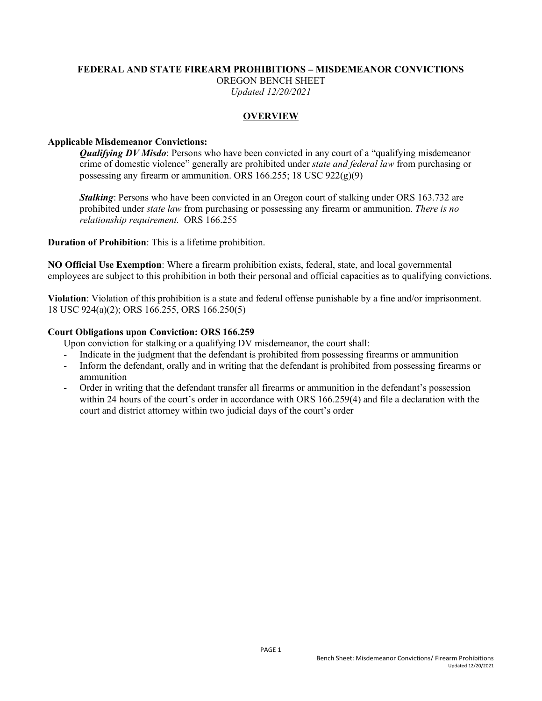#### **FEDERAL AND STATE FIREARM PROHIBITIONS – MISDEMEANOR CONVICTIONS** OREGON BENCH SHEET *Updated 12/20/2021*

## **OVERVIEW**

### **Applicable Misdemeanor Convictions:**

*Qualifying DV Misdo:* Persons who have been convicted in any court of a "qualifying misdemeanor" crime of domestic violence" generally are prohibited under *state and federal law* from purchasing or possessing any firearm or ammunition. ORS 166.255; 18 USC  $922(g)(9)$ 

*Stalking*: Persons who have been convicted in an Oregon court of stalking under ORS 163.732 are prohibited under *state law* from purchasing or possessing any firearm or ammunition. *There is no relationship requirement.* ORS 166.255

**Duration of Prohibition**: This is a lifetime prohibition.

**NO Official Use Exemption**: Where a firearm prohibition exists, federal, state, and local governmental employees are subject to this prohibition in both their personal and official capacities as to qualifying convictions.

**Violation**: Violation of this prohibition is a state and federal offense punishable by a fine and/or imprisonment. 18 USC 924(a)(2); ORS 166.255, ORS 166.250(5)

#### **Court Obligations upon Conviction: ORS 166.259**

Upon conviction for stalking or a qualifying DV misdemeanor, the court shall:

- Indicate in the judgment that the defendant is prohibited from possessing firearms or ammunition
- Inform the defendant, orally and in writing that the defendant is prohibited from possessing firearms or ammunition
- Order in writing that the defendant transfer all firearms or ammunition in the defendant's possession within 24 hours of the court's order in accordance with ORS 166.259(4) and file a declaration with the court and district attorney within two judicial days of the court's order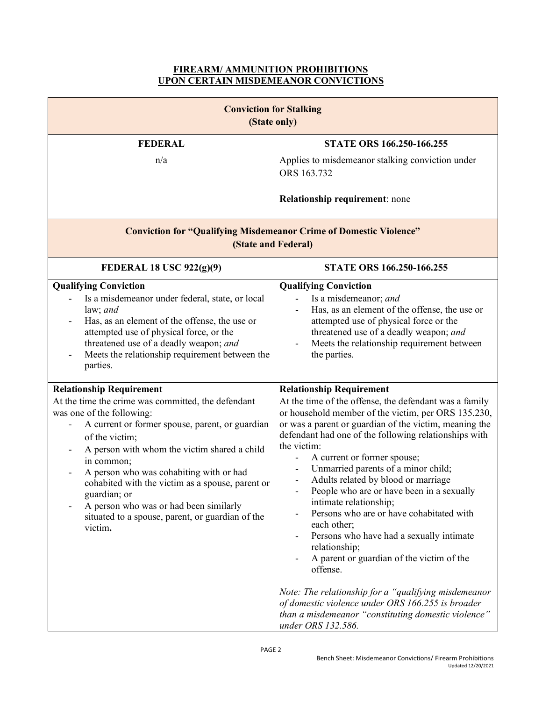## **FIREARM/ AMMUNITION PROHIBITIONS UPON CERTAIN MISDEMEANOR CONVICTIONS**

| <b>Conviction for Stalking</b><br>(State only)                                                                                                                                                                                                                                                                                                                                                                                                                                |                                                                                                                                                                                                                                                                                                                                                                                                                                                                                                                                                                                                                                                                                                                                                                                                                                                         |  |
|-------------------------------------------------------------------------------------------------------------------------------------------------------------------------------------------------------------------------------------------------------------------------------------------------------------------------------------------------------------------------------------------------------------------------------------------------------------------------------|---------------------------------------------------------------------------------------------------------------------------------------------------------------------------------------------------------------------------------------------------------------------------------------------------------------------------------------------------------------------------------------------------------------------------------------------------------------------------------------------------------------------------------------------------------------------------------------------------------------------------------------------------------------------------------------------------------------------------------------------------------------------------------------------------------------------------------------------------------|--|
| <b>FEDERAL</b>                                                                                                                                                                                                                                                                                                                                                                                                                                                                | <b>STATE ORS 166.250-166.255</b>                                                                                                                                                                                                                                                                                                                                                                                                                                                                                                                                                                                                                                                                                                                                                                                                                        |  |
| n/a                                                                                                                                                                                                                                                                                                                                                                                                                                                                           | Applies to misdemeanor stalking conviction under<br>ORS 163.732<br><b>Relationship requirement: none</b>                                                                                                                                                                                                                                                                                                                                                                                                                                                                                                                                                                                                                                                                                                                                                |  |
| <b>Conviction for "Qualifying Misdemeanor Crime of Domestic Violence"</b><br>(State and Federal)                                                                                                                                                                                                                                                                                                                                                                              |                                                                                                                                                                                                                                                                                                                                                                                                                                                                                                                                                                                                                                                                                                                                                                                                                                                         |  |
| <b>FEDERAL 18 USC 922(g)(9)</b>                                                                                                                                                                                                                                                                                                                                                                                                                                               | <b>STATE ORS 166.250-166.255</b>                                                                                                                                                                                                                                                                                                                                                                                                                                                                                                                                                                                                                                                                                                                                                                                                                        |  |
| <b>Qualifying Conviction</b><br>Is a misdemeanor under federal, state, or local<br>law; $and$<br>Has, as an element of the offense, the use or<br>attempted use of physical force, or the<br>threatened use of a deadly weapon; and<br>Meets the relationship requirement between the<br>parties.                                                                                                                                                                             | <b>Qualifying Conviction</b><br>Is a misdemeanor; and<br>Has, as an element of the offense, the use or<br>attempted use of physical force or the<br>threatened use of a deadly weapon; and<br>Meets the relationship requirement between<br>the parties.                                                                                                                                                                                                                                                                                                                                                                                                                                                                                                                                                                                                |  |
| <b>Relationship Requirement</b><br>At the time the crime was committed, the defendant<br>was one of the following:<br>A current or former spouse, parent, or guardian<br>of the victim;<br>A person with whom the victim shared a child<br>in common;<br>A person who was cohabiting with or had<br>cohabited with the victim as a spouse, parent or<br>guardian; or<br>A person who was or had been similarly<br>situated to a spouse, parent, or guardian of the<br>victim. | <b>Relationship Requirement</b><br>At the time of the offense, the defendant was a family<br>or household member of the victim, per ORS 135.230,<br>or was a parent or guardian of the victim, meaning the<br>defendant had one of the following relationships with<br>the victim:<br>A current or former spouse;<br>Unmarried parents of a minor child;<br>Adults related by blood or marriage<br>People who are or have been in a sexually<br>intimate relationship;<br>Persons who are or have cohabitated with<br>each other;<br>Persons who have had a sexually intimate<br>$\overline{\phantom{0}}$<br>relationship;<br>A parent or guardian of the victim of the<br>offense.<br>Note: The relationship for a "qualifying misdemeanor<br>of domestic violence under ORS 166.255 is broader<br>than a misdemeanor "constituting domestic violence" |  |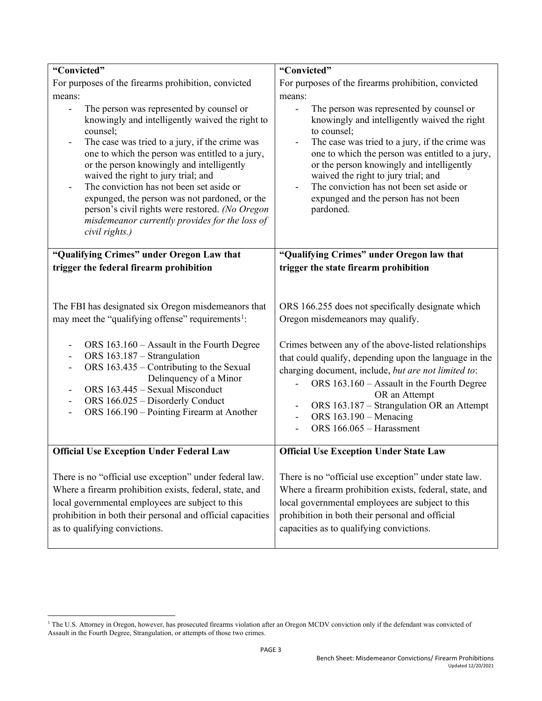| "Convicted"                                                                                                                                                                                                                                                                                                                                                                                                                                                                                                                                                                  | "Convicted"                                                                                                                                                                                                                                                                                                                                                                                                                                                                         |
|------------------------------------------------------------------------------------------------------------------------------------------------------------------------------------------------------------------------------------------------------------------------------------------------------------------------------------------------------------------------------------------------------------------------------------------------------------------------------------------------------------------------------------------------------------------------------|-------------------------------------------------------------------------------------------------------------------------------------------------------------------------------------------------------------------------------------------------------------------------------------------------------------------------------------------------------------------------------------------------------------------------------------------------------------------------------------|
| For purposes of the firearms prohibition, convicted                                                                                                                                                                                                                                                                                                                                                                                                                                                                                                                          | For purposes of the firearms prohibition, convicted                                                                                                                                                                                                                                                                                                                                                                                                                                 |
| means:                                                                                                                                                                                                                                                                                                                                                                                                                                                                                                                                                                       | means:                                                                                                                                                                                                                                                                                                                                                                                                                                                                              |
| The person was represented by counsel or<br>knowingly and intelligently waived the right to<br>counsel;<br>The case was tried to a jury, if the crime was<br>$\overline{\phantom{a}}$<br>one to which the person was entitled to a jury,<br>or the person knowingly and intelligently<br>waived the right to jury trial; and<br>The conviction has not been set aside or<br>$\overline{\phantom{a}}$<br>expunged, the person was not pardoned, or the<br>person's civil rights were restored. (No Oregon<br>misdemeanor currently provides for the loss of<br>civil rights.) | The person was represented by counsel or<br>knowingly and intelligently waived the right<br>to counsel;<br>The case was tried to a jury, if the crime was<br>$\qquad \qquad \blacksquare$<br>one to which the person was entitled to a jury,<br>or the person knowingly and intelligently<br>waived the right to jury trial; and<br>The conviction has not been set aside or<br>expunged and the person has not been<br>pardoned.                                                   |
| "Qualifying Crimes" under Oregon Law that                                                                                                                                                                                                                                                                                                                                                                                                                                                                                                                                    | "Qualifying Crimes" under Oregon law that                                                                                                                                                                                                                                                                                                                                                                                                                                           |
| trigger the federal firearm prohibition                                                                                                                                                                                                                                                                                                                                                                                                                                                                                                                                      | trigger the state firearm prohibition                                                                                                                                                                                                                                                                                                                                                                                                                                               |
| The FBI has designated six Oregon misdemeanors that<br>may meet the "qualifying offense" requirements <sup>1</sup> :<br>ORS 163.160 - Assault in the Fourth Degree<br>ORS 163.187 - Strangulation<br>-<br>ORS 163.435 – Contributing to the Sexual<br>$\overline{\phantom{0}}$<br>Delinquency of a Minor<br>ORS 163.445 - Sexual Misconduct<br>ORS 166.025 - Disorderly Conduct<br>$\overline{\phantom{0}}$<br>ORS 166.190 – Pointing Firearm at Another<br><b>Official Use Exception Under Federal Law</b>                                                                  | ORS 166.255 does not specifically designate which<br>Oregon misdemeanors may qualify.<br>Crimes between any of the above-listed relationships<br>that could qualify, depending upon the language in the<br>charging document, include, but are not limited to:<br>ORS 163.160 - Assault in the Fourth Degree<br>OR an Attempt<br>ORS 163.187 - Strangulation OR an Attempt<br>ORS $163.190$ – Menacing<br>ORS 166.065 - Harassment<br><b>Official Use Exception Under State Law</b> |
| There is no "official use exception" under federal law.<br>Where a firearm prohibition exists, federal, state, and<br>local governmental employees are subject to this<br>prohibition in both their personal and official capacities<br>as to qualifying convictions.                                                                                                                                                                                                                                                                                                        | There is no "official use exception" under state law.<br>Where a firearm prohibition exists, federal, state, and<br>local governmental employees are subject to this<br>prohibition in both their personal and official<br>capacities as to qualifying convictions.                                                                                                                                                                                                                 |

<span id="page-2-0"></span><sup>&</sup>lt;sup>1</sup> The U.S. Attorney in Oregon, however, has prosecuted firearms violation after an Oregon MCDV conviction only if the defendant was convicted of Assault in the Fourth Degree, Strangulation, or attempts of those two crimes.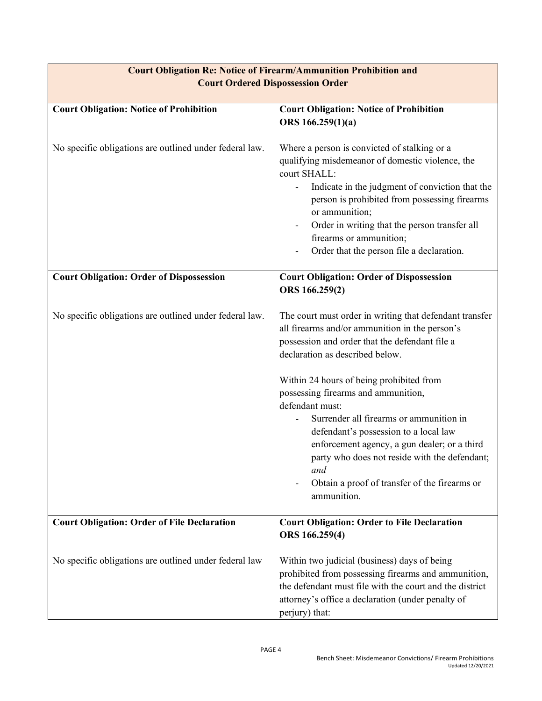| <b>Court Obligation: Notice of Prohibition</b>          | <b>Court Obligation: Notice of Prohibition</b>                                                                                                                                                                                                                                                                                                                                                                                                                                                                                                                   |
|---------------------------------------------------------|------------------------------------------------------------------------------------------------------------------------------------------------------------------------------------------------------------------------------------------------------------------------------------------------------------------------------------------------------------------------------------------------------------------------------------------------------------------------------------------------------------------------------------------------------------------|
|                                                         | ORS 166.259(1)(a)                                                                                                                                                                                                                                                                                                                                                                                                                                                                                                                                                |
| No specific obligations are outlined under federal law. | Where a person is convicted of stalking or a<br>qualifying misdemeanor of domestic violence, the<br>court SHALL:<br>Indicate in the judgment of conviction that the<br>person is prohibited from possessing firearms<br>or ammunition;<br>Order in writing that the person transfer all<br>firearms or ammunition;<br>Order that the person file a declaration.                                                                                                                                                                                                  |
| <b>Court Obligation: Order of Dispossession</b>         | <b>Court Obligation: Order of Dispossession</b><br>ORS 166.259(2)                                                                                                                                                                                                                                                                                                                                                                                                                                                                                                |
| No specific obligations are outlined under federal law. | The court must order in writing that defendant transfer<br>all firearms and/or ammunition in the person's<br>possession and order that the defendant file a<br>declaration as described below.<br>Within 24 hours of being prohibited from<br>possessing firearms and ammunition,<br>defendant must:<br>Surrender all firearms or ammunition in<br>defendant's possession to a local law<br>enforcement agency, a gun dealer; or a third<br>party who does not reside with the defendant;<br>and<br>Obtain a proof of transfer of the firearms or<br>ammunition. |
| <b>Court Obligation: Order of File Declaration</b>      | <b>Court Obligation: Order to File Declaration</b>                                                                                                                                                                                                                                                                                                                                                                                                                                                                                                               |
|                                                         | ORS 166.259(4)                                                                                                                                                                                                                                                                                                                                                                                                                                                                                                                                                   |
| No specific obligations are outlined under federal law  | Within two judicial (business) days of being<br>prohibited from possessing firearms and ammunition,<br>the defendant must file with the court and the district<br>attorney's office a declaration (under penalty of<br>perjury) that:                                                                                                                                                                                                                                                                                                                            |

# **Court Obligation Re: Notice of Firearm/Ammunition Prohibition and Court Ordered Dispossession Order**